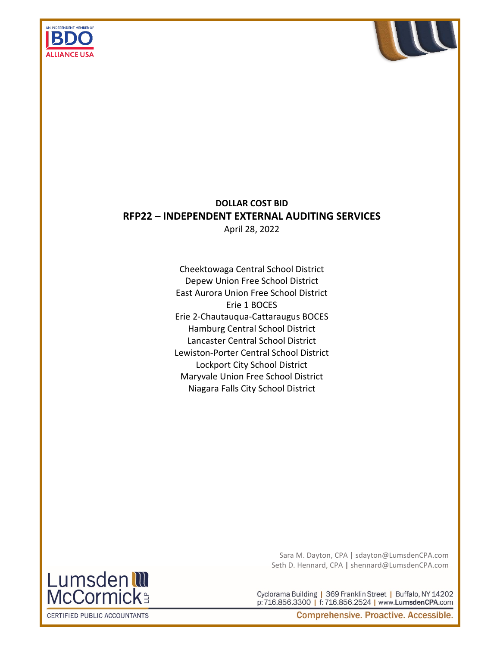



# **DOLLAR COST BID RFP22 – INDEPENDENT EXTERNAL AUDITING SERVICES**

April 28, 2022

Cheektowaga Central School District Depew Union Free School District East Aurora Union Free School District Erie 1 BOCES Erie 2-Chautauqua-Cattaraugus BOCES Hamburg Central School District Lancaster Central School District Lewiston-Porter Central School District Lockport City School District Maryvale Union Free School District Niagara Falls City School District

> Sara M. Dayton, CPA **|** sdayton@LumsdenCPA.com Seth D. Hennard, CPA **|** shennard@LumsdenCPA.com



CERTIFIED PUBLIC ACCOUNTANTS

Lumsden W<br>McCormick

**Comprehensive. Proactive. Accessible.**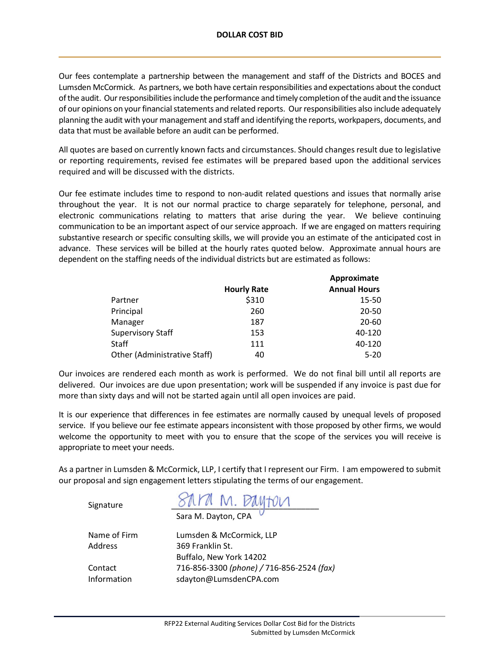Our fees contemplate a partnership between the management and staff of the Districts and BOCES and Lumsden McCormick. As partners, we both have certain responsibilities and expectations about the conduct of the audit. Our responsibilities include the performance and timely completion of the audit and the issuance of our opinions on your financial statements and related reports. Our responsibilities also include adequately planning the audit with your management and staff and identifying the reports, workpapers, documents, and data that must be available before an audit can be performed.

All quotes are based on currently known facts and circumstances. Should changes result due to legislative or reporting requirements, revised fee estimates will be prepared based upon the additional services required and will be discussed with the districts.

Our fee estimate includes time to respond to non-audit related questions and issues that normally arise throughout the year. It is not our normal practice to charge separately for telephone, personal, and electronic communications relating to matters that arise during the year. We believe continuing communication to be an important aspect of our service approach. If we are engaged on matters requiring substantive research or specific consulting skills, we will provide you an estimate of the anticipated cost in advance. These services will be billed at the hourly rates quoted below. Approximate annual hours are dependent on the staffing needs of the individual districts but are estimated as follows:

|                              |                    | Approximate         |
|------------------------------|--------------------|---------------------|
|                              | <b>Hourly Rate</b> | <b>Annual Hours</b> |
| Partner                      | \$310              | 15-50               |
| Principal                    | 260                | 20-50               |
| Manager                      | 187                | 20-60               |
| <b>Supervisory Staff</b>     | 153                | 40-120              |
| Staff                        | 111                | 40-120              |
| Other (Administrative Staff) | 40                 | $5 - 20$            |

Our invoices are rendered each month as work is performed. We do not final bill until all reports are delivered. Our invoices are due upon presentation; work will be suspended if any invoice is past due for more than sixty days and will not be started again until all open invoices are paid.

It is our experience that differences in fee estimates are normally caused by unequal levels of proposed service. If you believe our fee estimate appears inconsistent with those proposed by other firms, we would welcome the opportunity to meet with you to ensure that the scope of the services you will receive is appropriate to meet your needs.

As a partner in Lumsden & McCormick, LLP, I certify that I represent our Firm. I am empowered to submit our proposal and sign engagement letters stipulating the terms of our engagement.

| Signature    | MPM M. DAMTOLA<br>Sara M. Dayton, CPA     |
|--------------|-------------------------------------------|
| Name of Firm | Lumsden & McCormick, LLP                  |
| Address      | 369 Franklin St.                          |
|              | Buffalo, New York 14202                   |
| Contact      | 716-856-3300 (phone) / 716-856-2524 (fax) |
| Information  | sdayton@LumsdenCPA.com                    |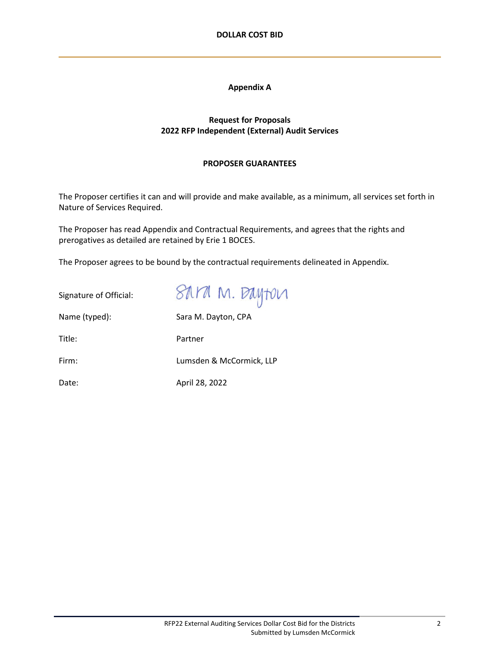#### **Appendix A**

#### **Request for Proposals 2022 RFP Independent (External) Audit Services**

#### **PROPOSER GUARANTEES**

The Proposer certifies it can and will provide and make available, as a minimum, all services set forth in Nature of Services Required.

The Proposer has read Appendix and Contractual Requirements, and agrees that the rights and prerogatives as detailed are retained by Erie 1 BOCES.

The Proposer agrees to be bound by the contractual requirements delineated in Appendix.

SAM M. Dayton

Name (typed): Sara M. Dayton, CPA Title: Partner Firm: Lumsden & McCormick, LLP Date: April 28, 2022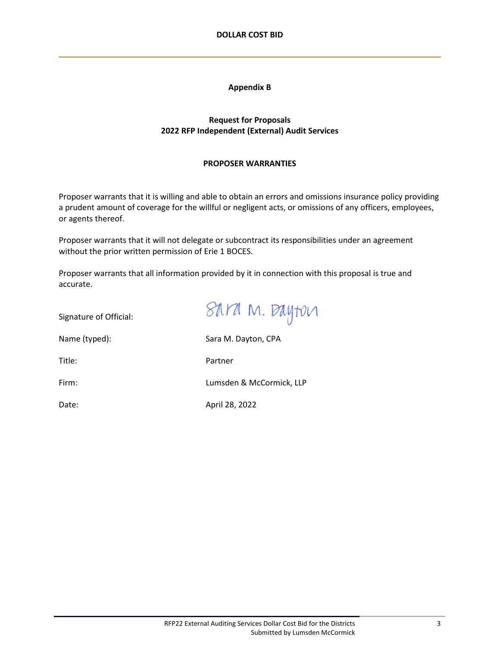#### **Appendix B**

#### **Request for Proposals 2022 RFP Independent (External) Audit Services**

#### **PROPOSER WARRANTIES**

Proposer warrants that it is willing and able to obtain an errors and omissions insurance policy providing a prudent amount of coverage for the willful or negligent acts, or omissions of any officers, employees, or agents thereof.

Proposer warrants that it will not delegate or subcontract its responsibilities under an agreement without the prior written permission of Erie 1 BOCES.

Proposer warrants that all information provided by it in connection with this proposal is true and accurate.

| SAM M. Dayton            |
|--------------------------|
| Sara M. Dayton, CPA      |
| Partner                  |
| Lumsden & McCormick, LLP |
| April 28, 2022           |
|                          |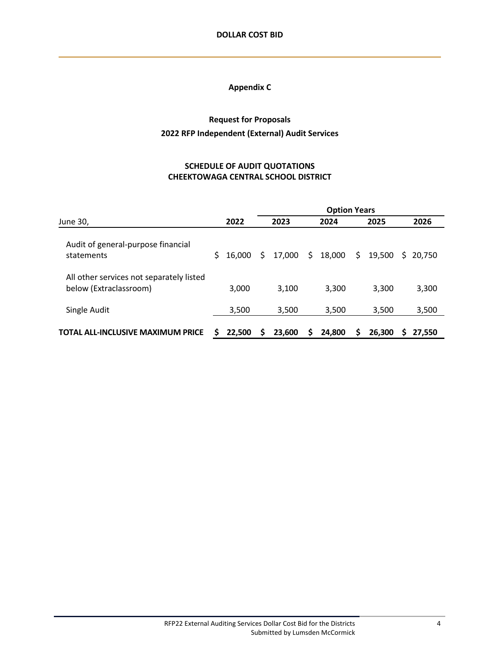## **Request for Proposals 2022 RFP Independent (External) Audit Services**

### **SCHEDULE OF AUDIT QUOTATIONS CHEEKTOWAGA CENTRAL SCHOOL DISTRICT**

|                                                                    |    |        |   |        |    |        |    | <b>Option Years</b> |    |        |  |  |  |  |  |  |  |
|--------------------------------------------------------------------|----|--------|---|--------|----|--------|----|---------------------|----|--------|--|--|--|--|--|--|--|
| June 30,                                                           |    | 2022   |   | 2023   |    | 2024   |    | 2025                |    | 2026   |  |  |  |  |  |  |  |
| Audit of general-purpose financial<br>statements                   | S. | 16,000 | S | 17,000 | S. | 18,000 | \$ | 19,500              | S. | 20.750 |  |  |  |  |  |  |  |
| All other services not separately listed<br>below (Extraclassroom) |    | 3,000  |   | 3,100  |    | 3,300  |    | 3,300               |    | 3,300  |  |  |  |  |  |  |  |
| Single Audit                                                       |    | 3,500  |   | 3,500  |    | 3,500  |    | 3,500               |    | 3,500  |  |  |  |  |  |  |  |
| <b>TOTAL ALL-INCLUSIVE MAXIMUM PRICE</b>                           | S  | 22,500 | S | 23,600 | S  | 24,800 | S  | 26,300              | S  | 27.550 |  |  |  |  |  |  |  |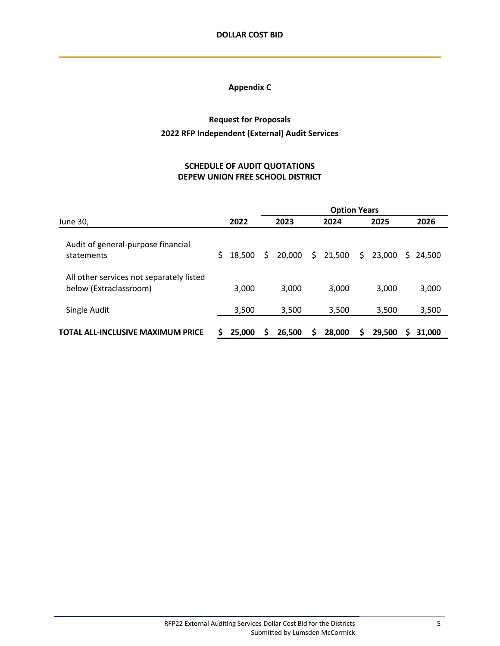## **Request for Proposals 2022 RFP Independent (External) Audit Services**

### **SCHEDULE OF AUDIT QUOTATIONS DEPEW UNION FREE SCHOOL DISTRICT**

|                                                                    |    |        | <b>Option Years</b> |        |     |        |    |        |    |        |  |  |
|--------------------------------------------------------------------|----|--------|---------------------|--------|-----|--------|----|--------|----|--------|--|--|
| June 30,                                                           |    | 2022   |                     | 2023   |     | 2024   |    | 2025   |    | 2026   |  |  |
| Audit of general-purpose financial<br>statements                   | S. | 18,500 | S.                  | 20,000 | \$. | 21,500 | \$ | 23,000 | S. | 24.500 |  |  |
| All other services not separately listed<br>below (Extraclassroom) |    | 3,000  |                     | 3,000  |     | 3.000  |    | 3.000  |    | 3,000  |  |  |
| Single Audit                                                       |    | 3,500  |                     | 3,500  |     | 3,500  |    | 3,500  |    | 3,500  |  |  |
| <b>TOTAL ALL-INCLUSIVE MAXIMUM PRICE</b>                           | S  | 25,000 | S                   | 26,500 | S   | 28,000 | S  | 29.500 | S  | 31,000 |  |  |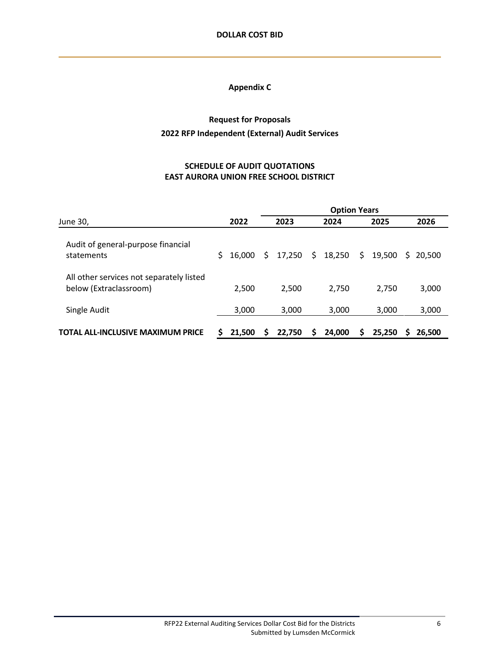## **Request for Proposals 2022 RFP Independent (External) Audit Services**

### **SCHEDULE OF AUDIT QUOTATIONS EAST AURORA UNION FREE SCHOOL DISTRICT**

|                                                                    |    |        | <b>Option Years</b> |        |     |        |    |        |    |        |  |
|--------------------------------------------------------------------|----|--------|---------------------|--------|-----|--------|----|--------|----|--------|--|
| June 30,                                                           |    | 2022   |                     | 2023   |     | 2024   |    | 2025   |    | 2026   |  |
| Audit of general-purpose financial<br>statements                   | S. | 16.000 | S.                  | 17,250 | \$. | 18,250 | \$ | 19,500 | S. | 20.500 |  |
| All other services not separately listed<br>below (Extraclassroom) |    | 2,500  |                     | 2,500  |     | 2,750  |    | 2.750  |    | 3,000  |  |
| Single Audit                                                       |    | 3,000  |                     | 3,000  |     | 3,000  |    | 3,000  |    | 3,000  |  |
| <b>TOTAL ALL-INCLUSIVE MAXIMUM PRICE</b>                           | S  | 21,500 | S                   | 22,750 | S   | 24,000 | S  | 25,250 | s  | 26.500 |  |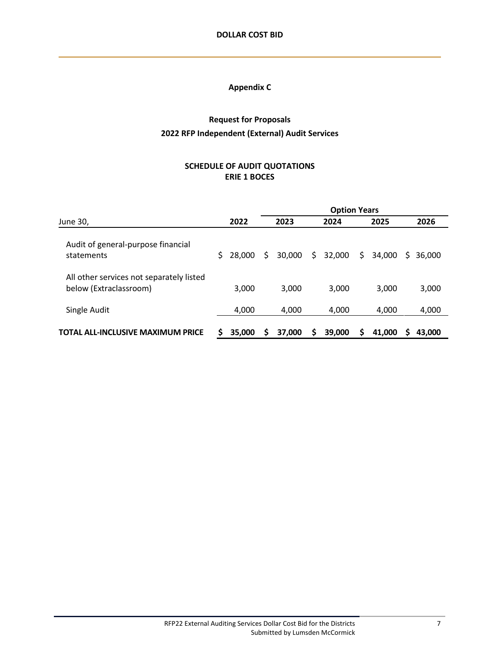## **Request for Proposals 2022 RFP Independent (External) Audit Services**

#### **SCHEDULE OF AUDIT QUOTATIONS ERIE 1 BOCES**

|                                                                    |    |        | <b>Option Years</b> |        |    |        |    |        |    |        |  |
|--------------------------------------------------------------------|----|--------|---------------------|--------|----|--------|----|--------|----|--------|--|
| June 30,                                                           |    | 2022   |                     | 2023   |    | 2024   |    | 2025   |    | 2026   |  |
| Audit of general-purpose financial<br>statements                   | S. | 28,000 | S.                  | 30,000 | S. | 32,000 | \$ | 34,000 | S. | 36,000 |  |
| All other services not separately listed<br>below (Extraclassroom) |    | 3,000  |                     | 3,000  |    | 3,000  |    | 3.000  |    | 3,000  |  |
| Single Audit                                                       |    | 4,000  |                     | 4,000  |    | 4,000  |    | 4,000  |    | 4,000  |  |
| TOTAL ALL-INCLUSIVE MAXIMUM PRICE                                  | S  | 35,000 | S                   | 37,000 | S  | 39,000 | S  | 41.000 | S  | 43,000 |  |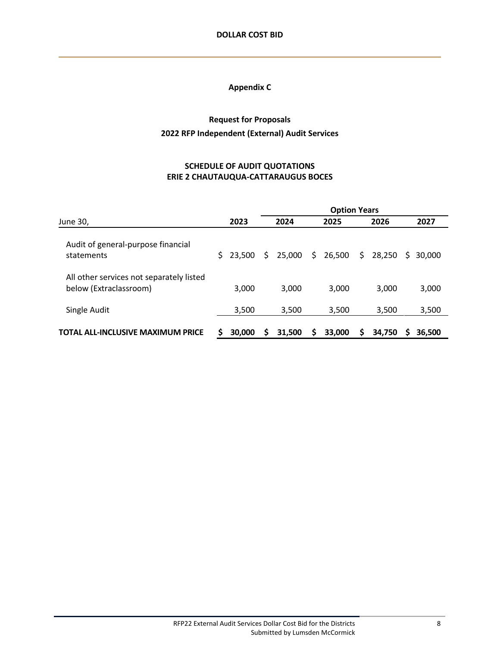## **Request for Proposals 2022 RFP Independent (External) Audit Services**

### **SCHEDULE OF AUDIT QUOTATIONS ERIE 2 CHAUTAUQUA-CATTARAUGUS BOCES**

|                                                                    |    |        | <b>Option Years</b> |        |     |        |    |        |    |        |  |
|--------------------------------------------------------------------|----|--------|---------------------|--------|-----|--------|----|--------|----|--------|--|
| June 30,                                                           |    | 2023   |                     | 2024   |     | 2025   |    | 2026   |    | 2027   |  |
| Audit of general-purpose financial<br>statements                   | S. | 23,500 | S.                  | 25,000 | \$. | 26,500 | \$ | 28,250 | S. | 30,000 |  |
| All other services not separately listed<br>below (Extraclassroom) |    | 3,000  |                     | 3,000  |     | 3.000  |    | 3.000  |    | 3,000  |  |
| Single Audit                                                       |    | 3,500  |                     | 3,500  |     | 3,500  |    | 3,500  |    | 3,500  |  |
| <b>TOTAL ALL-INCLUSIVE MAXIMUM PRICE</b>                           | S  | 30,000 | S                   | 31.500 | S   | 33,000 | S  | 34.750 | S  | 36.500 |  |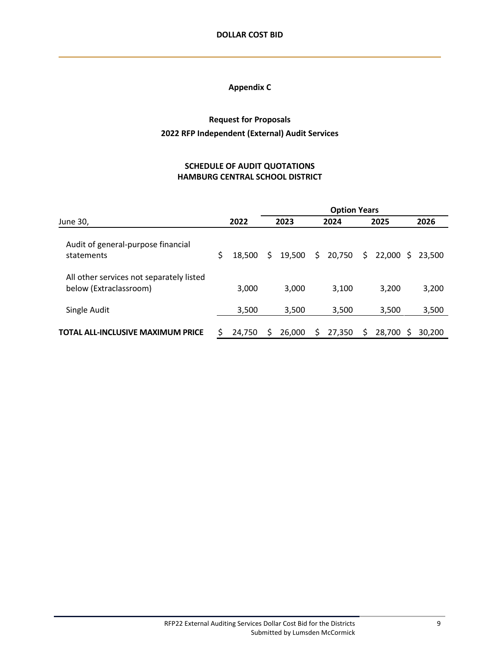## **Request for Proposals 2022 RFP Independent (External) Audit Services**

### **SCHEDULE OF AUDIT QUOTATIONS HAMBURG CENTRAL SCHOOL DISTRICT**

|                                                                    |      |        |      |        |      | <b>Option Years</b> |     |        |      |        |  |  |
|--------------------------------------------------------------------|------|--------|------|--------|------|---------------------|-----|--------|------|--------|--|--|
| June 30,                                                           | 2022 |        | 2023 |        | 2024 |                     |     | 2025   | 2026 |        |  |  |
| Audit of general-purpose financial<br>statements                   | \$   | 18,500 | S    | 19,500 | \$.  | 20,750              | \$. | 22,000 | S.   | 23.500 |  |  |
| All other services not separately listed<br>below (Extraclassroom) |      | 3,000  |      | 3,000  |      | 3,100               |     | 3.200  |      | 3,200  |  |  |
| Single Audit                                                       |      | 3,500  |      | 3,500  |      | 3,500               |     | 3,500  |      | 3,500  |  |  |
| <b>TOTAL ALL-INCLUSIVE MAXIMUM PRICE</b>                           | Ś    | 24,750 | S    | 26,000 | S    | 27,350              | S   | 28,700 | S    | 30.200 |  |  |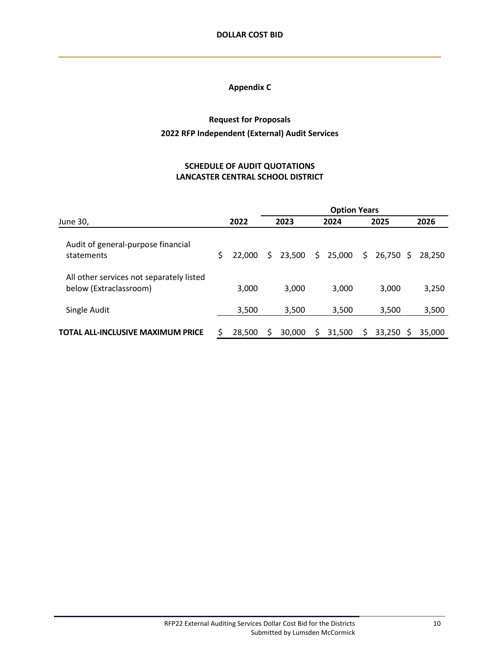## **Request for Proposals 2022 RFP Independent (External) Audit Services**

### **SCHEDULE OF AUDIT QUOTATIONS LANCASTER CENTRAL SCHOOL DISTRICT**

|                                                                    |      |        |      |        |      | <b>Option Years</b> |     |        |      |        |
|--------------------------------------------------------------------|------|--------|------|--------|------|---------------------|-----|--------|------|--------|
| June 30,                                                           | 2022 |        | 2023 |        | 2024 |                     |     | 2025   | 2026 |        |
| Audit of general-purpose financial<br>statements                   | \$   | 22,000 | S.   | 23,500 | \$.  | 25,000              | \$. | 26,750 | S.   | 28.250 |
| All other services not separately listed<br>below (Extraclassroom) |      | 3,000  |      | 3,000  |      | 3,000               |     | 3,000  |      | 3,250  |
| Single Audit                                                       |      | 3,500  |      | 3,500  |      | 3,500               |     | 3,500  |      | 3,500  |
| <b>TOTAL ALL-INCLUSIVE MAXIMUM PRICE</b>                           | Ś    | 28,500 | S    | 30,000 | S    | 31.500              | S   | 33,250 | S    | 35,000 |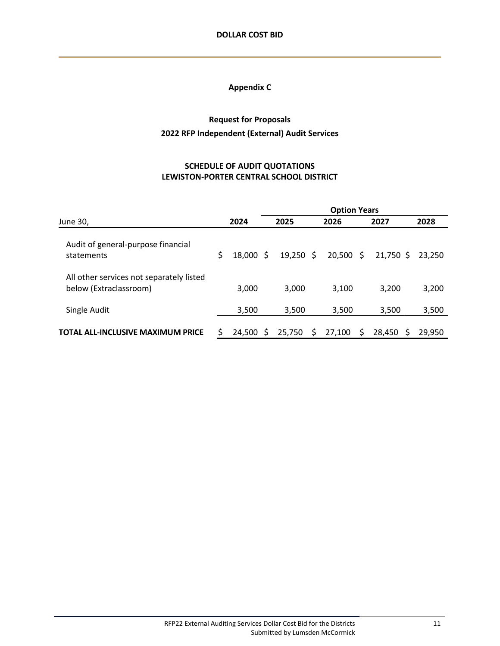## **Request for Proposals 2022 RFP Independent (External) Audit Services**

### **SCHEDULE OF AUDIT QUOTATIONS LEWISTON-PORTER CENTRAL SCHOOL DISTRICT**

|                                                                    |    | <b>Option Years</b> |             |    |        |     |             |        |  |  |  |
|--------------------------------------------------------------------|----|---------------------|-------------|----|--------|-----|-------------|--------|--|--|--|
| June 30,                                                           |    | 2024                | 2025        |    | 2026   |     | 2027        | 2028   |  |  |  |
| Audit of general-purpose financial<br>statements                   | \$ | $18,000 \; \xi$     | $19,250$ \$ |    | 20,500 | \$. | $21,750$ \$ | 23.250 |  |  |  |
| All other services not separately listed<br>below (Extraclassroom) |    | 3,000               | 3,000       |    | 3,100  |     | 3.200       | 3,200  |  |  |  |
| Single Audit                                                       |    | 3,500               | 3,500       |    | 3,500  |     | 3,500       | 3,500  |  |  |  |
| <b>TOTAL ALL-INCLUSIVE MAXIMUM PRICE</b>                           | Ś  | 24.500<br>S.        | 25,750      | \$ | 27,100 | Ś   | 28.450<br>S | 29,950 |  |  |  |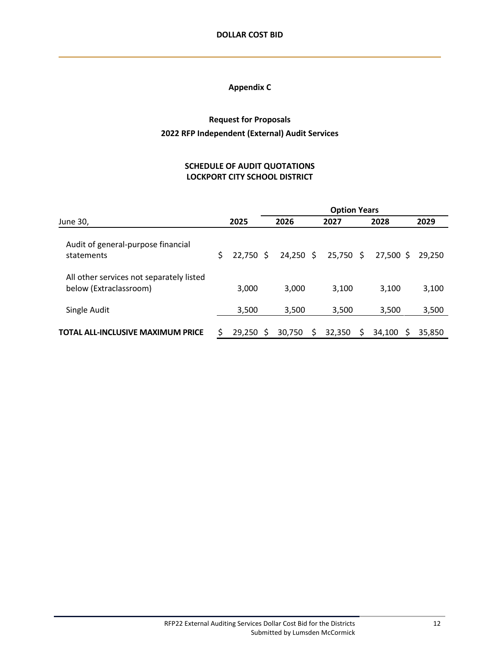## **Request for Proposals 2022 RFP Independent (External) Audit Services**

#### **SCHEDULE OF AUDIT QUOTATIONS LOCKPORT CITY SCHOOL DISTRICT**

|                                                                    |    |             | <b>Option Years</b> |             |    |             |        |  |  |  |
|--------------------------------------------------------------------|----|-------------|---------------------|-------------|----|-------------|--------|--|--|--|
| June 30,                                                           |    | 2025        | 2026                | 2027        |    | 2028        | 2029   |  |  |  |
| Audit of general-purpose financial<br>statements                   | \$ | $22,750$ \$ | $24,250$ \$         | 25,750      | \$ | $27,500$ \$ | 29.250 |  |  |  |
| All other services not separately listed<br>below (Extraclassroom) |    | 3,000       | 3,000               | 3,100       |    | 3.100       | 3,100  |  |  |  |
| Single Audit                                                       |    | 3,500       | 3,500               | 3,500       |    | 3,500       | 3,500  |  |  |  |
| <b>TOTAL ALL-INCLUSIVE MAXIMUM PRICE</b>                           | Ś  | 29,250<br>S | 30,750              | 32,350<br>S | S  | 34.100<br>S | 35.850 |  |  |  |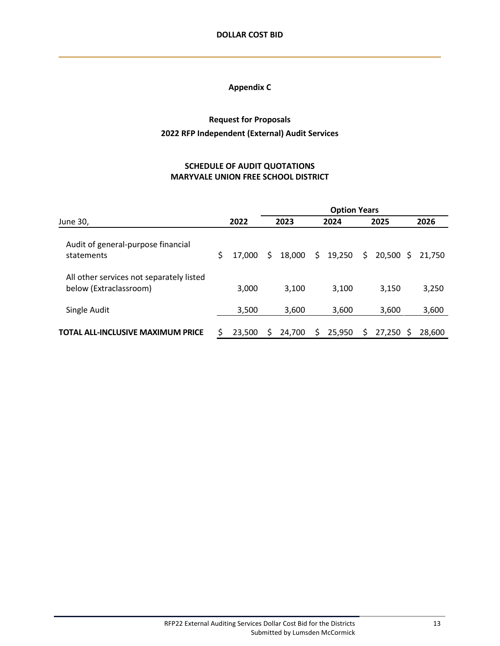## **Request for Proposals 2022 RFP Independent (External) Audit Services**

### **SCHEDULE OF AUDIT QUOTATIONS MARYVALE UNION FREE SCHOOL DISTRICT**

|                                                                    |    |        | <b>Option Years</b> |        |      |        |      |        |      |        |
|--------------------------------------------------------------------|----|--------|---------------------|--------|------|--------|------|--------|------|--------|
| June 30,                                                           |    | 2022   | 2023                |        | 2024 |        | 2025 |        | 2026 |        |
| Audit of general-purpose financial<br>statements                   | \$ | 17.000 | S                   | 18,000 | \$.  | 19,250 | \$.  | 20,500 | S.   | 21.750 |
| All other services not separately listed<br>below (Extraclassroom) |    | 3,000  |                     | 3,100  |      | 3,100  |      | 3.150  |      | 3,250  |
| Single Audit                                                       |    | 3,500  |                     | 3,600  |      | 3,600  |      | 3,600  |      | 3,600  |
| <b>TOTAL ALL-INCLUSIVE MAXIMUM PRICE</b>                           | Ś  | 23,500 | S                   | 24,700 | S    | 25,950 | S.   | 27,250 | S    | 28.600 |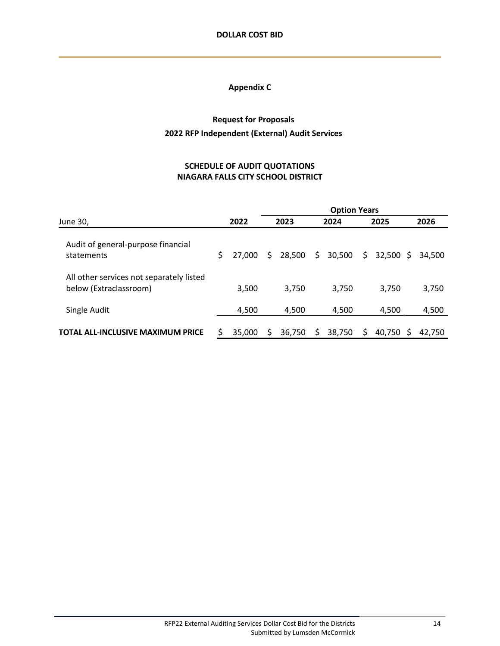## **Request for Proposals 2022 RFP Independent (External) Audit Services**

### **SCHEDULE OF AUDIT QUOTATIONS NIAGARA FALLS CITY SCHOOL DISTRICT**

|                                                                    |     |        | <b>Option Years</b> |        |      |        |      |        |      |        |
|--------------------------------------------------------------------|-----|--------|---------------------|--------|------|--------|------|--------|------|--------|
| June 30,                                                           |     | 2022   | 2023                |        | 2024 |        | 2025 |        | 2026 |        |
| Audit of general-purpose financial<br>statements                   | \$. | 27,000 | S.                  | 28,500 | \$   | 30,500 | \$.  | 32,500 | S.   | 34.500 |
| All other services not separately listed<br>below (Extraclassroom) |     | 3,500  |                     | 3,750  |      | 3,750  |      | 3.750  |      | 3,750  |
| Single Audit                                                       |     | 4,500  |                     | 4,500  |      | 4,500  |      | 4,500  |      | 4,500  |
| <b>TOTAL ALL-INCLUSIVE MAXIMUM PRICE</b>                           |     | 35,000 | S                   | 36,750 | S    | 38,750 | S    | 40.750 | S    | 42.750 |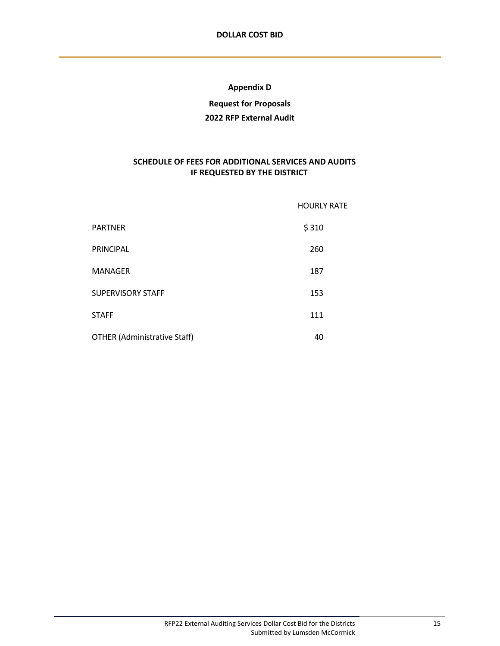#### **Appendix D**

### **Request for Proposals**

#### **2022 RFP External Audit**

#### **SCHEDULE OF FEES FOR ADDITIONAL SERVICES AND AUDITS IF REQUESTED BY THE DISTRICT**

|                                     | <b>HOURLY RATE</b> |
|-------------------------------------|--------------------|
| <b>PARTNER</b>                      | \$310              |
| <b>PRINCIPAL</b>                    | 260                |
| <b>MANAGER</b>                      | 187                |
| <b>SUPERVISORY STAFF</b>            | 153                |
| <b>STAFF</b>                        | 111                |
| <b>OTHER (Administrative Staff)</b> | 40                 |